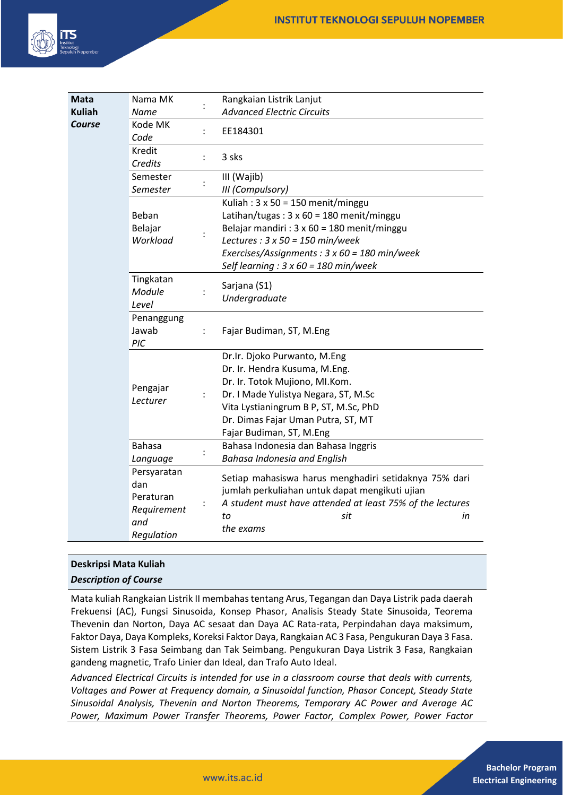

| <b>Mata</b>   | Nama MK                                                             |                      | Rangkaian Listrik Lanjut                                                                                                                                                                                                                                                                     |
|---------------|---------------------------------------------------------------------|----------------------|----------------------------------------------------------------------------------------------------------------------------------------------------------------------------------------------------------------------------------------------------------------------------------------------|
| <b>Kuliah</b> | Name                                                                |                      | <b>Advanced Electric Circuits</b>                                                                                                                                                                                                                                                            |
| <b>Course</b> | Kode MK<br>Code                                                     | $\ddot{\cdot}$       | EE184301                                                                                                                                                                                                                                                                                     |
|               | Kredit<br>Credits                                                   | $\ddot{\phantom{a}}$ | 3 sks                                                                                                                                                                                                                                                                                        |
|               | Semester<br>Semester                                                |                      | III (Wajib)<br>III (Compulsory)                                                                                                                                                                                                                                                              |
|               | Beban<br>Belajar<br>Workload                                        |                      | Kuliah: $3 \times 50 = 150$ menit/minggu<br>Latihan/tugas: $3 \times 60 = 180$ menit/minggu<br>Belajar mandiri : $3 \times 60 = 180$ menit/minggu<br>Lectures : $3 \times 50 = 150$ min/week<br>Exercises/Assignments: 3 x 60 = 180 min/week<br>Self learning : $3 \times 60 = 180$ min/week |
|               | Tingkatan<br>Module<br>Level                                        |                      | Sarjana (S1)<br>Undergraduate                                                                                                                                                                                                                                                                |
|               | Penanggung<br>Jawab<br>PIC                                          | $\ddot{\phantom{a}}$ | Fajar Budiman, ST, M.Eng                                                                                                                                                                                                                                                                     |
|               | Pengajar<br>Lecturer                                                | $\ddot{\phantom{a}}$ | Dr.Ir. Djoko Purwanto, M.Eng<br>Dr. Ir. Hendra Kusuma, M.Eng.<br>Dr. Ir. Totok Mujiono, MI.Kom.<br>Dr. I Made Yulistya Negara, ST, M.Sc<br>Vita Lystianingrum B P, ST, M.Sc, PhD<br>Dr. Dimas Fajar Uman Putra, ST, MT<br>Fajar Budiman, ST, M.Eng                                           |
|               | <b>Bahasa</b><br>Language                                           |                      | Bahasa Indonesia dan Bahasa Inggris<br><b>Bahasa Indonesia and English</b>                                                                                                                                                                                                                   |
|               | Persyaratan<br>dan<br>Peraturan<br>Requirement<br>and<br>Regulation |                      | Setiap mahasiswa harus menghadiri setidaknya 75% dari<br>jumlah perkuliahan untuk dapat mengikuti ujian<br>A student must have attended at least 75% of the lectures<br>to<br>sit<br>in<br>the exams                                                                                         |

# **Deskripsi Mata Kuliah**

# *Description of Course*

Mata kuliah Rangkaian Listrik II membahas tentang Arus, Tegangan dan Daya Listrik pada daerah Frekuensi (AC), Fungsi Sinusoida, Konsep Phasor, Analisis Steady State Sinusoida, Teorema Thevenin dan Norton, Daya AC sesaat dan Daya AC Rata-rata, Perpindahan daya maksimum, Faktor Daya, Daya Kompleks, Koreksi Faktor Daya, Rangkaian AC 3 Fasa, Pengukuran Daya 3 Fasa. Sistem Listrik 3 Fasa Seimbang dan Tak Seimbang. Pengukuran Daya Listrik 3 Fasa, Rangkaian gandeng magnetic, Trafo Linier dan Ideal, dan Trafo Auto Ideal.

*Advanced Electrical Circuits is intended for use in a classroom course that deals with currents, Voltages and Power at Frequency domain, a Sinusoidal function, Phasor Concept, Steady State Sinusoidal Analysis, Thevenin and Norton Theorems, Temporary AC Power and Average AC Power, Maximum Power Transfer Theorems, Power Factor, Complex Power, Power Factor*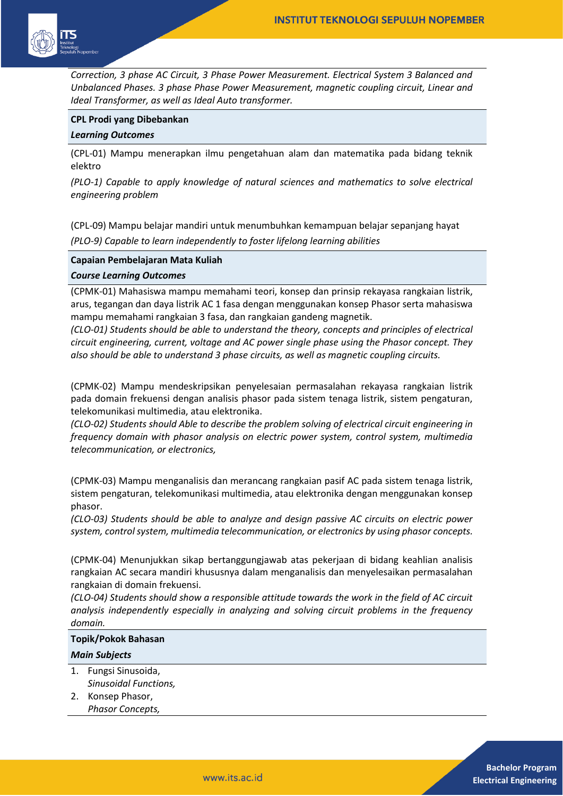

*Correction, 3 phase AC Circuit, 3 Phase Power Measurement. Electrical System 3 Balanced and Unbalanced Phases. 3 phase Phase Power Measurement, magnetic coupling circuit, Linear and Ideal Transformer, as well as Ideal Auto transformer.*

#### **CPL Prodi yang Dibebankan**

#### *Learning Outcomes*

(CPL-01) Mampu menerapkan ilmu pengetahuan alam dan matematika pada bidang teknik elektro

*(PLO-1) Capable to apply knowledge of natural sciences and mathematics to solve electrical engineering problem* 

(CPL-09) Mampu belajar mandiri untuk menumbuhkan kemampuan belajar sepanjang hayat *(PLO-9) Capable to learn independently to foster lifelong learning abilities* 

#### **Capaian Pembelajaran Mata Kuliah**

#### *Course Learning Outcomes*

(CPMK-01) Mahasiswa mampu memahami teori, konsep dan prinsip rekayasa rangkaian listrik, arus, tegangan dan daya listrik AC 1 fasa dengan menggunakan konsep Phasor serta mahasiswa mampu memahami rangkaian 3 fasa, dan rangkaian gandeng magnetik.

*(CLO-01) Students should be able to understand the theory, concepts and principles of electrical circuit engineering, current, voltage and AC power single phase using the Phasor concept. They also should be able to understand 3 phase circuits, as well as magnetic coupling circuits.*

(CPMK-02) Mampu mendeskripsikan penyelesaian permasalahan rekayasa rangkaian listrik pada domain frekuensi dengan analisis phasor pada sistem tenaga listrik, sistem pengaturan, telekomunikasi multimedia, atau elektronika.

*(CLO-02) Students should Able to describe the problem solving of electrical circuit engineering in frequency domain with phasor analysis on electric power system, control system, multimedia telecommunication, or electronics,*

(CPMK-03) Mampu menganalisis dan merancang rangkaian pasif AC pada sistem tenaga listrik, sistem pengaturan, telekomunikasi multimedia, atau elektronika dengan menggunakan konsep phasor.

*(CLO-03) Students should be able to analyze and design passive AC circuits on electric power system, control system, multimedia telecommunication, or electronics by using phasor concepts.*

(CPMK-04) Menunjukkan sikap bertanggungjawab atas pekerjaan di bidang keahlian analisis rangkaian AC secara mandiri khususnya dalam menganalisis dan menyelesaikan permasalahan rangkaian di domain frekuensi.

*(CLO-04) Students should show a responsible attitude towards the work in the field of AC circuit analysis independently especially in analyzing and solving circuit problems in the frequency domain.*

# **Topik/Pokok Bahasan**

## *Main Subjects*

- 1. Fungsi Sinusoida, *Sinusoidal Functions,*
- 2. Konsep Phasor, *Phasor Concepts,*

**Bachelor Program Electrical Engineering**